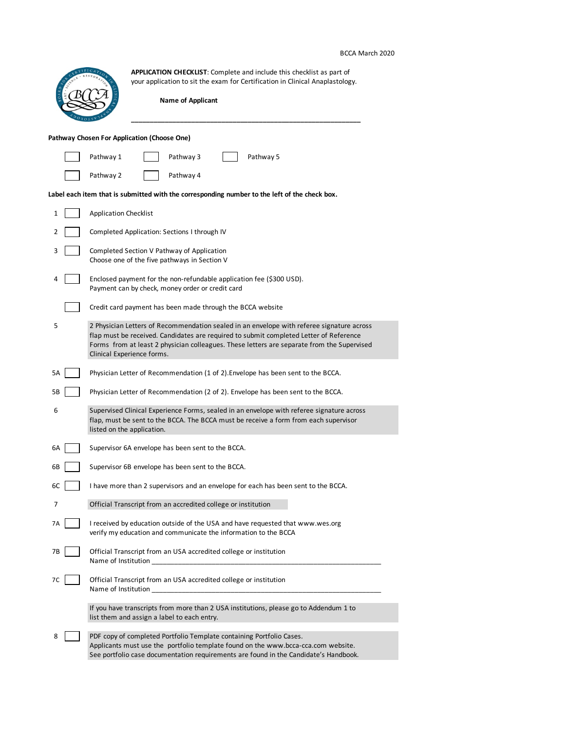## BCCA March 2020

|    | <b>APPLICATION CHECKLIST:</b> Complete and include this checklist as part of<br>your application to sit the exam for Certification in Clinical Anaplastology.                                                                                                                                                   |
|----|-----------------------------------------------------------------------------------------------------------------------------------------------------------------------------------------------------------------------------------------------------------------------------------------------------------------|
|    | <b>Name of Applicant</b>                                                                                                                                                                                                                                                                                        |
|    | Pathway Chosen For Application (Choose One)                                                                                                                                                                                                                                                                     |
|    | Pathway 5<br>Pathway 1<br>Pathway 3                                                                                                                                                                                                                                                                             |
|    | Pathway 2<br>Pathway 4                                                                                                                                                                                                                                                                                          |
|    | Label each item that is submitted with the corresponding number to the left of the check box.                                                                                                                                                                                                                   |
| 1  | <b>Application Checklist</b>                                                                                                                                                                                                                                                                                    |
| 2  | Completed Application: Sections I through IV                                                                                                                                                                                                                                                                    |
| 3  | Completed Section V Pathway of Application<br>Choose one of the five pathways in Section V                                                                                                                                                                                                                      |
| 4  | Enclosed payment for the non-refundable application fee (\$300 USD).<br>Payment can by check, money order or credit card                                                                                                                                                                                        |
|    | Credit card payment has been made through the BCCA website                                                                                                                                                                                                                                                      |
| 5  | 2 Physician Letters of Recommendation sealed in an envelope with referee signature across<br>flap must be received. Candidates are required to submit completed Letter of Reference<br>Forms from at least 2 physician colleagues. These letters are separate from the Supervised<br>Clinical Experience forms. |
| 5А | Physician Letter of Recommendation (1 of 2). Envelope has been sent to the BCCA.                                                                                                                                                                                                                                |
| 5В | Physician Letter of Recommendation (2 of 2). Envelope has been sent to the BCCA.                                                                                                                                                                                                                                |
| 6  | Supervised Clinical Experience Forms, sealed in an envelope with referee signature across<br>flap, must be sent to the BCCA. The BCCA must be receive a form from each supervisor<br>listed on the application.                                                                                                 |
| 6A | Supervisor 6A envelope has been sent to the BCCA.                                                                                                                                                                                                                                                               |
| 6В | Supervisor 6B envelope has been sent to the BCCA.                                                                                                                                                                                                                                                               |
| 6C | I have more than 2 supervisors and an envelope for each has been sent to the BCCA.                                                                                                                                                                                                                              |
| 7  | Official Transcript from an accredited college or institution                                                                                                                                                                                                                                                   |
| 7A | I received by education outside of the USA and have requested that www.wes.org<br>verify my education and communicate the information to the BCCA                                                                                                                                                               |
| 7В | Official Transcript from an USA accredited college or institution<br>Name of Institution                                                                                                                                                                                                                        |
| 7C | Official Transcript from an USA accredited college or institution<br>Name of Institution                                                                                                                                                                                                                        |
|    | If you have transcripts from more than 2 USA institutions, please go to Addendum 1 to<br>list them and assign a label to each entry.                                                                                                                                                                            |
| 8  | PDF copy of completed Portfolio Template containing Portfolio Cases.<br>Applicants must use the portfolio template found on the www.bcca-cca.com website.<br>See portfolio case documentation requirements are found in the Candidate's Handbook.                                                               |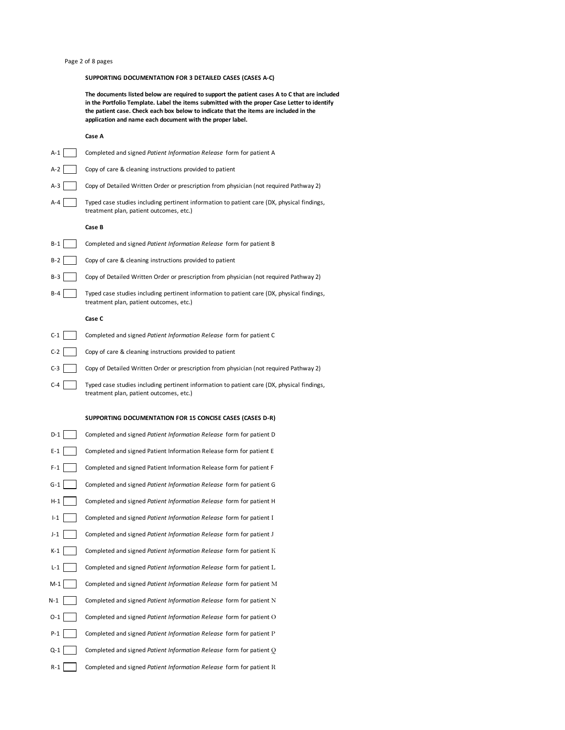## Page 2 of 8 pages

## **SUPPORTING DOCUMENTATION FOR 3 DETAILED CASES (CASES A-C)**

**The documents listed below are required to support the patient cases A to C that are included in the Portfolio Template. Label the items submitted with the proper Case Letter to identify the patient case. Check each box below to indicate that the items are included in the application and name each document with the proper label.** 

## **Case A**

| A-1     | Completed and signed Patient Information Release form for patient A                                                                   |
|---------|---------------------------------------------------------------------------------------------------------------------------------------|
| $A-2$   | Copy of care & cleaning instructions provided to patient                                                                              |
| A-3     | Copy of Detailed Written Order or prescription from physician (not required Pathway 2)                                                |
| $A - 4$ | Typed case studies including pertinent information to patient care (DX, physical findings,<br>treatment plan, patient outcomes, etc.) |
|         | Case B                                                                                                                                |
| B-1     | Completed and signed Patient Information Release form for patient B                                                                   |
| $B-2$   | Copy of care & cleaning instructions provided to patient                                                                              |
| B-3     | Copy of Detailed Written Order or prescription from physician (not required Pathway 2)                                                |
| B-4     | Typed case studies including pertinent information to patient care (DX, physical findings,<br>treatment plan, patient outcomes, etc.) |
|         | Case C                                                                                                                                |
| $C-1$   | Completed and signed Patient Information Release form for patient C                                                                   |
| $C-2$   | Copy of care & cleaning instructions provided to patient                                                                              |
| $C-3$   | Copy of Detailed Written Order or prescription from physician (not required Pathway 2)                                                |
| C-4     | Typed case studies including pertinent information to patient care (DX, physical findings,<br>treatment plan, patient outcomes, etc.) |
|         |                                                                                                                                       |
|         | SUPPORTING DOCUMENTATION FOR 15 CONCISE CASES (CASES D-R)                                                                             |
| $D-1$   | Completed and signed Patient Information Release form for patient D                                                                   |
| E-1     | Completed and signed Patient Information Release form for patient E                                                                   |
| $F-1$   | Completed and signed Patient Information Release form for patient F                                                                   |
| G-1     | Completed and signed Patient Information Release form for patient G                                                                   |
| H-1     | Completed and signed Patient Information Release form for patient H                                                                   |
| $I-1$   | Completed and signed Patient Information Release form for patient I                                                                   |
| J-1     | Completed and signed Patient Information Release form for patient J                                                                   |
| K-1     | Completed and signed Patient Information Release form for patient K                                                                   |
| L-1     | Completed and signed Patient Information Release form for patient L                                                                   |
| $M-1$   | Completed and signed Patient Information Release form for patient M                                                                   |
| N-1     | Completed and signed Patient Information Release form for patient N                                                                   |
| 0-1     | Completed and signed Patient Information Release form for patient O                                                                   |
| P-1     | Completed and signed Patient Information Release form for patient P                                                                   |
| Q-1     | Completed and signed Patient Information Release form for patient $Q$                                                                 |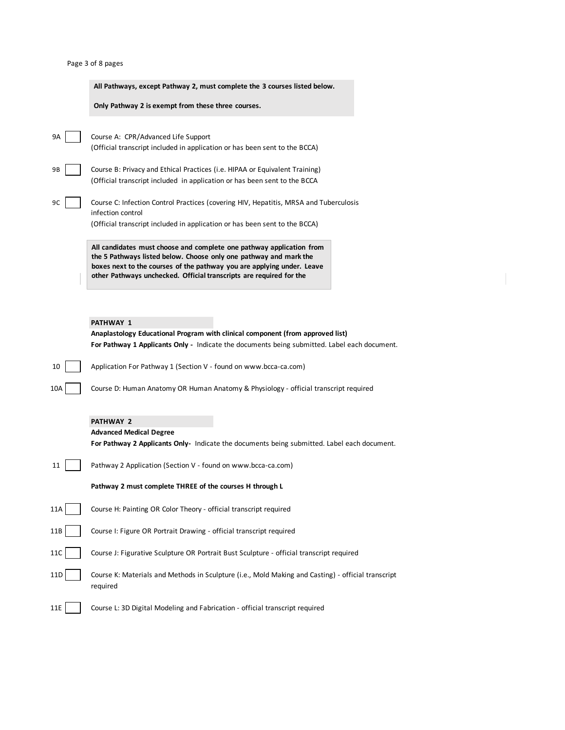|  |  |  |  | Page 3 of 8 pages |
|--|--|--|--|-------------------|
|--|--|--|--|-------------------|

|     | Page 3 of 8 pages                                                                                                                                                                                                                                                                          |
|-----|--------------------------------------------------------------------------------------------------------------------------------------------------------------------------------------------------------------------------------------------------------------------------------------------|
|     | All Pathways, except Pathway 2, must complete the 3 courses listed below.                                                                                                                                                                                                                  |
|     | Only Pathway 2 is exempt from these three courses.                                                                                                                                                                                                                                         |
| 9А  | Course A: CPR/Advanced Life Support<br>(Official transcript included in application or has been sent to the BCCA)                                                                                                                                                                          |
| 9Β  | Course B: Privacy and Ethical Practices (i.e. HIPAA or Equivalent Training)<br>(Official transcript included in application or has been sent to the BCCA                                                                                                                                   |
| 9C  | Course C: Infection Control Practices (covering HIV, Hepatitis, MRSA and Tuberculosis<br>infection control<br>(Official transcript included in application or has been sent to the BCCA)                                                                                                   |
|     | All candidates must choose and complete one pathway application from<br>the 5 Pathways listed below. Choose only one pathway and mark the<br>boxes next to the courses of the pathway you are applying under. Leave<br>other Pathways unchecked. Official transcripts are required for the |
|     |                                                                                                                                                                                                                                                                                            |
|     | <b>PATHWAY 1</b>                                                                                                                                                                                                                                                                           |
|     | Anaplastology Educational Program with clinical component (from approved list)<br>For Pathway 1 Applicants Only - Indicate the documents being submitted. Label each document.                                                                                                             |
| 10  | Application For Pathway 1 (Section V - found on www.bcca-ca.com)                                                                                                                                                                                                                           |
| 10A | Course D: Human Anatomy OR Human Anatomy & Physiology - official transcript required                                                                                                                                                                                                       |
|     |                                                                                                                                                                                                                                                                                            |
|     | <b>PATHWAY 2</b><br><b>Advanced Medical Degree</b>                                                                                                                                                                                                                                         |
|     | <b>For Pathway 2 Applicants Only-</b> Indicate the documents being submitted. Label each document.                                                                                                                                                                                         |
| 11  | Pathway 2 Application (Section V - found on www.bcca-ca.com)                                                                                                                                                                                                                               |
|     | Pathway 2 must complete THREE of the courses H through L                                                                                                                                                                                                                                   |
| 11A | Course H: Painting OR Color Theory - official transcript required                                                                                                                                                                                                                          |
| 11B | Course I: Figure OR Portrait Drawing - official transcript required                                                                                                                                                                                                                        |
| 11C | Course J: Figurative Sculpture OR Portrait Bust Sculpture - official transcript required                                                                                                                                                                                                   |
| 11D | Course K: Materials and Methods in Sculpture (i.e., Mold Making and Casting) - official transcript<br>required                                                                                                                                                                             |
| 11E | Course L: 3D Digital Modeling and Fabrication - official transcript required                                                                                                                                                                                                               |

 $\sim 100$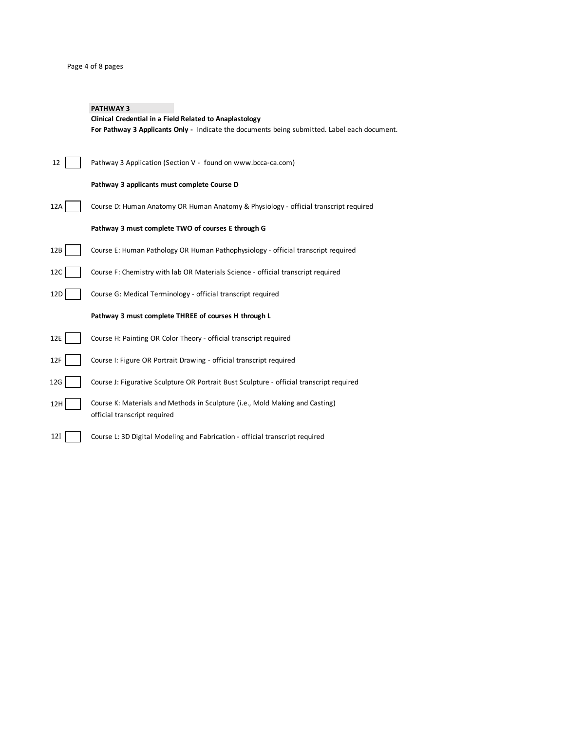## Page 4 of 8 pages

# **PATHWAY 3 Clinical Credential in a Field Related to Anaplastology For Pathway 3 Applicants Only -** Indicate the documents being submitted. Label each document. 12 | Pathway 3 Application (Section V - found on www.bcca-ca.com) **Pathway 3 applicants must complete Course D** 12A Course D: Human Anatomy OR Human Anatomy & Physiology - official transcript required **Pathway 3 must complete TWO of courses E through G** 12B Course E: Human Pathology OR Human Pathophysiology - official transcript required 12C | | Course F: Chemistry with lab OR Materials Science - official transcript required 12D | Course G: Medical Terminology - official transcript required **Pathway 3 must complete THREE of courses H through L** 12E | Course H: Painting OR Color Theory - official transcript required

- 12F | Course I: Figure OR Portrait Drawing official transcript required
- 12G Course J: Figurative Sculpture OR Portrait Bust Sculpture official transcript required
- 12H Course K: Materials and Methods in Sculpture (i.e., Mold Making and Casting) official transcript required
- 12I Course L: 3D Digital Modeling and Fabrication official transcript required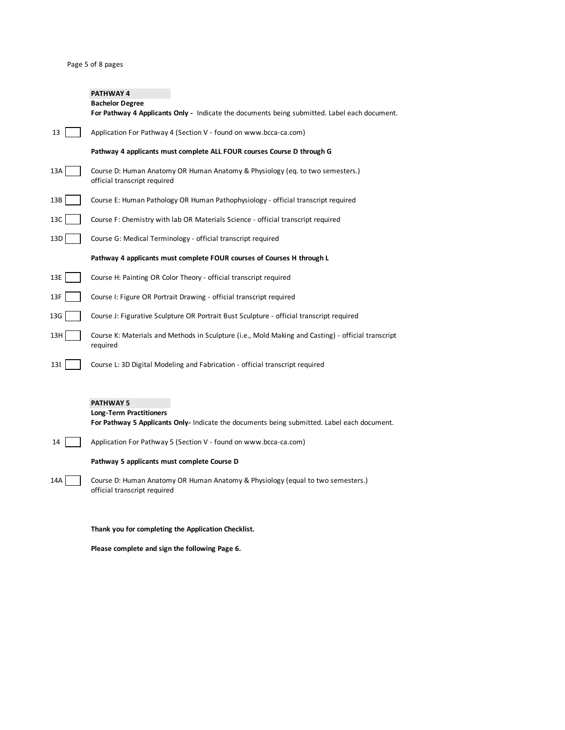# **PATHWAY 4**

|     | <b>Bachelor Degree</b><br>For Pathway 4 Applicants Only - Indicate the documents being submitted. Label each document. |
|-----|------------------------------------------------------------------------------------------------------------------------|
| 13  | Application For Pathway 4 (Section V - found on www.bcca-ca.com)                                                       |
|     | Pathway 4 applicants must complete ALL FOUR courses Course D through G                                                 |
| 13A | Course D: Human Anatomy OR Human Anatomy & Physiology (eq. to two semesters.)<br>official transcript required          |
| 13B | Course E: Human Pathology OR Human Pathophysiology - official transcript required                                      |
| 13C | Course F: Chemistry with lab OR Materials Science - official transcript required                                       |
| 13D | Course G: Medical Terminology - official transcript required                                                           |
|     | Pathway 4 applicants must complete FOUR courses of Courses H through L                                                 |
| 13E | Course H: Painting OR Color Theory - official transcript required                                                      |
| 13F | Course I: Figure OR Portrait Drawing - official transcript required                                                    |
| 13G | Course J: Figurative Sculpture OR Portrait Bust Sculpture - official transcript required                               |
| 13H | Course K: Materials and Methods in Sculpture (i.e., Mold Making and Casting) - official transcript<br>required         |
| 13I | Course L: 3D Digital Modeling and Fabrication - official transcript required                                           |

## **PATHWAY 5**

## **Long-Term Practitioners**

**For Pathway 5 Applicants Only-** Indicate the documents being submitted. Label each document.

14 Application For Pathway 5 (Section V - found on www.bcca-ca.com)

# **Pathway 5 applicants must complete Course D**

14A Course D: Human Anatomy OR Human Anatomy & Physiology (equal to two semesters.) official transcript required

# **Thank you for completing the Application Checklist.**

**Please complete and sign the following Page 6.**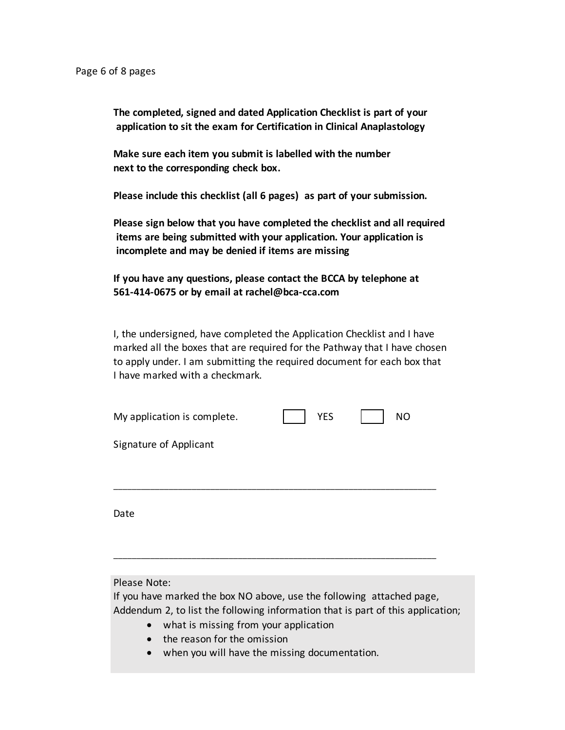**The completed, signed and dated Application Checklist is part of your application to sit the exam for Certification in Clinical Anaplastology**

**Make sure each item you submit is labelled with the number next to the corresponding check box.**

**Please include this checklist (all 6 pages) as part of your submission.**

**Please sign below that you have completed the checklist and all required items are being submitted with your application. Your application is incomplete and may be denied if items are missing**

**If you have any questions, please contact the BCCA by telephone at 561-414-0675 or by email at rachel@bca-cca.com**

I, the undersigned, have completed the Application Checklist and I have marked all the boxes that are required for the Pathway that I have chosen to apply under. I am submitting the required document for each box that I have marked with a checkmark.

| My application is complete. | <b>YES</b> | <b>NO</b> |
|-----------------------------|------------|-----------|
| Signature of Applicant      |            |           |
|                             |            |           |
| Date                        |            |           |

\_\_\_\_\_\_\_\_\_\_\_\_\_\_\_\_\_\_\_\_\_\_\_\_\_\_\_\_\_\_\_\_\_\_\_\_\_\_\_\_\_\_\_\_\_\_\_\_\_\_\_\_\_\_\_\_\_\_\_\_\_\_\_\_\_\_\_\_\_\_

Please Note:

If you have marked the box NO above, use the following attached page, Addendum 2, to list the following information that is part of this application;

- what is missing from your application
- the reason for the omission
- when you will have the missing documentation.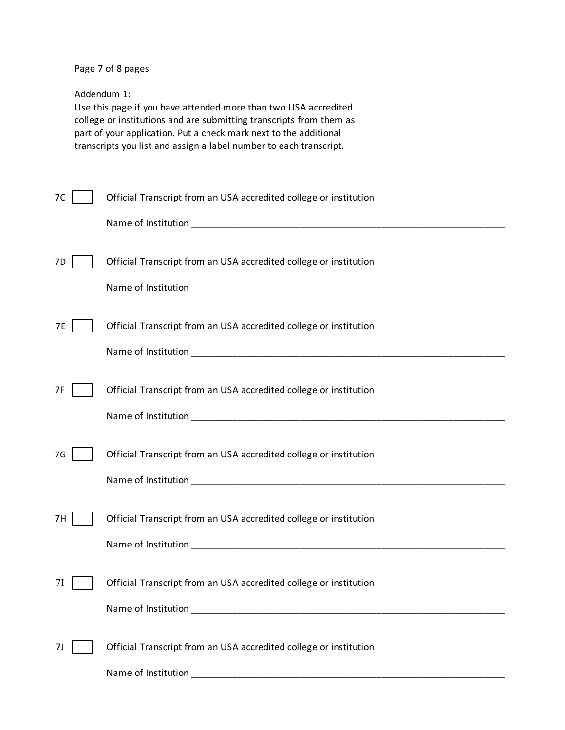Page 7 of 8 pages

Addendum 1:

Use this page if you have attended more than two USA accredited college or institutions and are submitting transcripts from them as part of your application. Put a check mark next to the additional transcripts you list and assign a label number to each transcript.

| 7C | Official Transcript from an USA accredited college or institution                                                                                                                                                                                                                                   |
|----|-----------------------------------------------------------------------------------------------------------------------------------------------------------------------------------------------------------------------------------------------------------------------------------------------------|
|    |                                                                                                                                                                                                                                                                                                     |
| 7D | Official Transcript from an USA accredited college or institution                                                                                                                                                                                                                                   |
| 7E | Official Transcript from an USA accredited college or institution                                                                                                                                                                                                                                   |
| 7F | Official Transcript from an USA accredited college or institution                                                                                                                                                                                                                                   |
| 7G | Official Transcript from an USA accredited college or institution                                                                                                                                                                                                                                   |
| 7H | Official Transcript from an USA accredited college or institution                                                                                                                                                                                                                                   |
|    | Official Transcript from an USA accredited college or institution<br>Name of Institution and the control of the control of the control of the control of the control of the control of the control of the control of the control of the control of the control of the control of the control of the |
| 7J | Official Transcript from an USA accredited college or institution                                                                                                                                                                                                                                   |